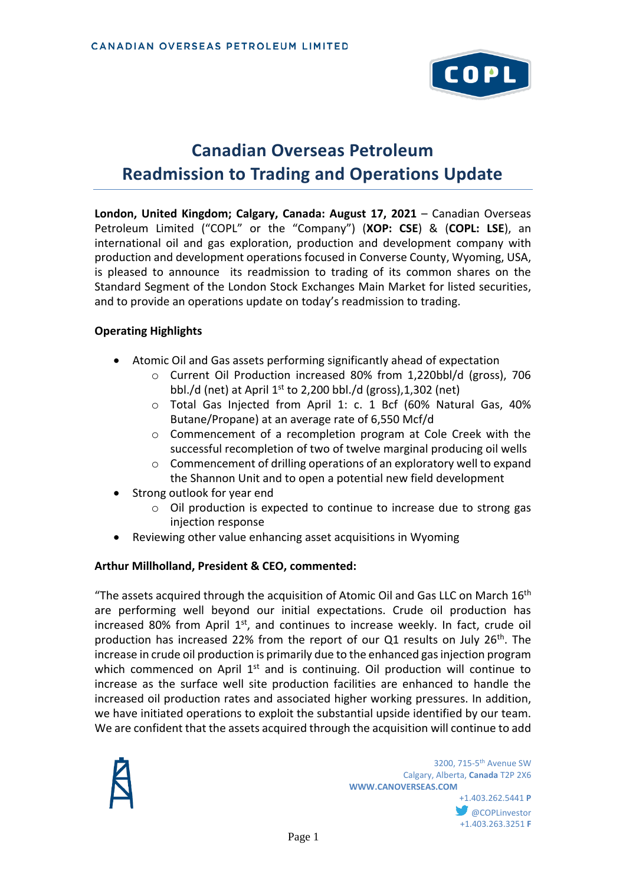

# **Canadian Overseas Petroleum Readmission to Trading and Operations Update**

**London, United Kingdom; Calgary, Canada: August 17, 2021** – Canadian Overseas Petroleum Limited ("COPL" or the "Company") (**XOP: CSE**) & (**COPL: LSE**), an international oil and gas exploration, production and development company with production and development operations focused in Converse County, Wyoming, USA, is pleased to announce its readmission to trading of its common shares on the Standard Segment of the London Stock Exchanges Main Market for listed securities, and to provide an operations update on today's readmission to trading.

#### **Operating Highlights**

- Atomic Oil and Gas assets performing significantly ahead of expectation
	- o Current Oil Production increased 80% from 1,220bbl/d (gross), 706 bbl./d (net) at April  $1<sup>st</sup>$  to 2,200 bbl./d (gross), 1,302 (net)
	- o Total Gas Injected from April 1: c. 1 Bcf (60% Natural Gas, 40% Butane/Propane) at an average rate of 6,550 Mcf/d
	- o Commencement of a recompletion program at Cole Creek with the successful recompletion of two of twelve marginal producing oil wells
	- o Commencement of drilling operations of an exploratory well to expand the Shannon Unit and to open a potential new field development
- Strong outlook for year end
	- o Oil production is expected to continue to increase due to strong gas injection response
- Reviewing other value enhancing asset acquisitions in Wyoming

#### **Arthur Millholland, President & CEO, commented:**

"The assets acquired through the acquisition of Atomic Oil and Gas LLC on March  $16<sup>th</sup>$ are performing well beyond our initial expectations. Crude oil production has increased 80% from April 1<sup>st</sup>, and continues to increase weekly. In fact, crude oil production has increased 22% from the report of our Q1 results on July  $26<sup>th</sup>$ . The increase in crude oil production is primarily due to the enhanced gas injection program which commenced on April  $1<sup>st</sup>$  and is continuing. Oil production will continue to increase as the surface well site production facilities are enhanced to handle the increased oil production rates and associated higher working pressures. In addition, we have initiated operations to exploit the substantial upside identified by our team. We are confident that the assets acquired through the acquisition will continue to add

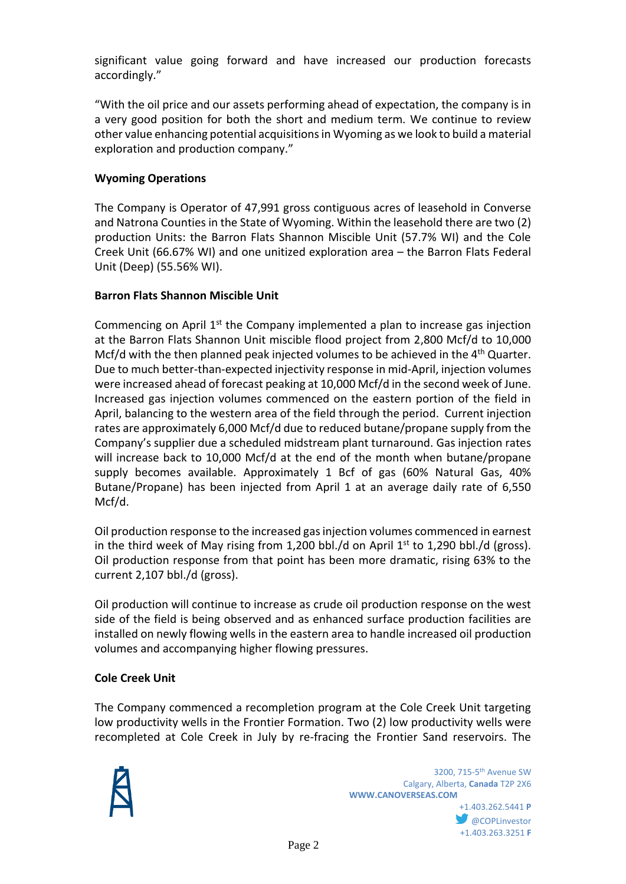significant value going forward and have increased our production forecasts accordingly."

"With the oil price and our assets performing ahead of expectation, the company is in a very good position for both the short and medium term. We continue to review other value enhancing potential acquisitions in Wyoming as we look to build a material exploration and production company."

## **Wyoming Operations**

The Company is Operator of 47,991 gross contiguous acres of leasehold in Converse and Natrona Counties in the State of Wyoming. Within the leasehold there are two (2) production Units: the Barron Flats Shannon Miscible Unit (57.7% WI) and the Cole Creek Unit (66.67% WI) and one unitized exploration area – the Barron Flats Federal Unit (Deep) (55.56% WI).

#### **Barron Flats Shannon Miscible Unit**

Commencing on April  $1<sup>st</sup>$  the Company implemented a plan to increase gas injection at the Barron Flats Shannon Unit miscible flood project from 2,800 Mcf/d to 10,000 Mcf/d with the then planned peak injected volumes to be achieved in the 4<sup>th</sup> Quarter. Due to much better-than-expected injectivity response in mid-April, injection volumes were increased ahead of forecast peaking at 10,000 Mcf/d in the second week of June. Increased gas injection volumes commenced on the eastern portion of the field in April, balancing to the western area of the field through the period. Current injection rates are approximately 6,000 Mcf/d due to reduced butane/propane supply from the Company's supplier due a scheduled midstream plant turnaround. Gas injection rates will increase back to 10,000 Mcf/d at the end of the month when butane/propane supply becomes available. Approximately 1 Bcf of gas (60% Natural Gas, 40% Butane/Propane) has been injected from April 1 at an average daily rate of 6,550 Mcf/d.

Oil production response to the increased gas injection volumes commenced in earnest in the third week of May rising from 1,200 bbl./d on April  $1<sup>st</sup>$  to 1,290 bbl./d (gross). Oil production response from that point has been more dramatic, rising 63% to the current 2,107 bbl./d (gross).

Oil production will continue to increase as crude oil production response on the west side of the field is being observed and as enhanced surface production facilities are installed on newly flowing wells in the eastern area to handle increased oil production volumes and accompanying higher flowing pressures.

# **Cole Creek Unit**

The Company commenced a recompletion program at the Cole Creek Unit targeting low productivity wells in the Frontier Formation. Two (2) low productivity wells were recompleted at Cole Creek in July by re-fracing the Frontier Sand reservoirs. The



+1.403.263.3251 **F**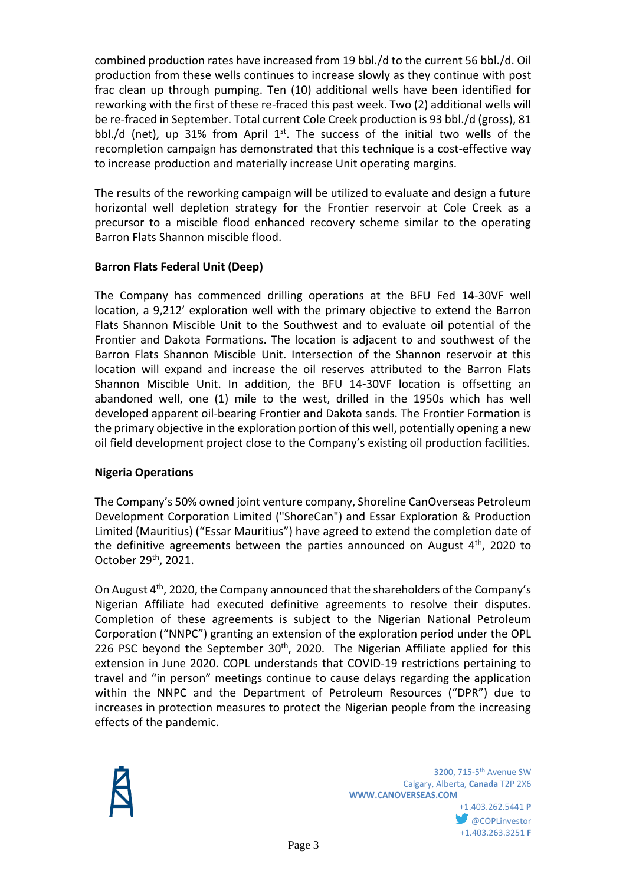combined production rates have increased from 19 bbl./d to the current 56 bbl./d. Oil production from these wells continues to increase slowly as they continue with post frac clean up through pumping. Ten (10) additional wells have been identified for reworking with the first of these re-fraced this past week. Two (2) additional wells will be re-fraced in September. Total current Cole Creek production is 93 bbl./d (gross), 81 bbl./d (net), up 31% from April  $1<sup>st</sup>$ . The success of the initial two wells of the recompletion campaign has demonstrated that this technique is a cost-effective way to increase production and materially increase Unit operating margins.

The results of the reworking campaign will be utilized to evaluate and design a future horizontal well depletion strategy for the Frontier reservoir at Cole Creek as a precursor to a miscible flood enhanced recovery scheme similar to the operating Barron Flats Shannon miscible flood.

#### **Barron Flats Federal Unit (Deep)**

The Company has commenced drilling operations at the BFU Fed 14-30VF well location, a 9,212' exploration well with the primary objective to extend the Barron Flats Shannon Miscible Unit to the Southwest and to evaluate oil potential of the Frontier and Dakota Formations. The location is adjacent to and southwest of the Barron Flats Shannon Miscible Unit. Intersection of the Shannon reservoir at this location will expand and increase the oil reserves attributed to the Barron Flats Shannon Miscible Unit. In addition, the BFU 14-30VF location is offsetting an abandoned well, one (1) mile to the west, drilled in the 1950s which has well developed apparent oil-bearing Frontier and Dakota sands. The Frontier Formation is the primary objective in the exploration portion of this well, potentially opening a new oil field development project close to the Company's existing oil production facilities.

#### **Nigeria Operations**

The Company's 50% owned joint venture company, Shoreline CanOverseas Petroleum Development Corporation Limited ("ShoreCan") and Essar Exploration & Production Limited (Mauritius) ("Essar Mauritius") have agreed to extend the completion date of the definitive agreements between the parties announced on August  $4<sup>th</sup>$ , 2020 to October 29th, 2021.

On August 4th, 2020, the Company announced that the shareholders of the Company's Nigerian Affiliate had executed definitive agreements to resolve their disputes. Completion of these agreements is subject to the Nigerian National Petroleum Corporation ("NNPC") granting an extension of the exploration period under the OPL 226 PSC beyond the September 30<sup>th</sup>, 2020. The Nigerian Affiliate applied for this extension in June 2020. COPL understands that COVID-19 restrictions pertaining to travel and "in person" meetings continue to cause delays regarding the application within the NNPC and the Department of Petroleum Resources ("DPR") due to increases in protection measures to protect the Nigerian people from the increasing effects of the pandemic.



**W** @COPLinvestor +1.403.263.3251 **F**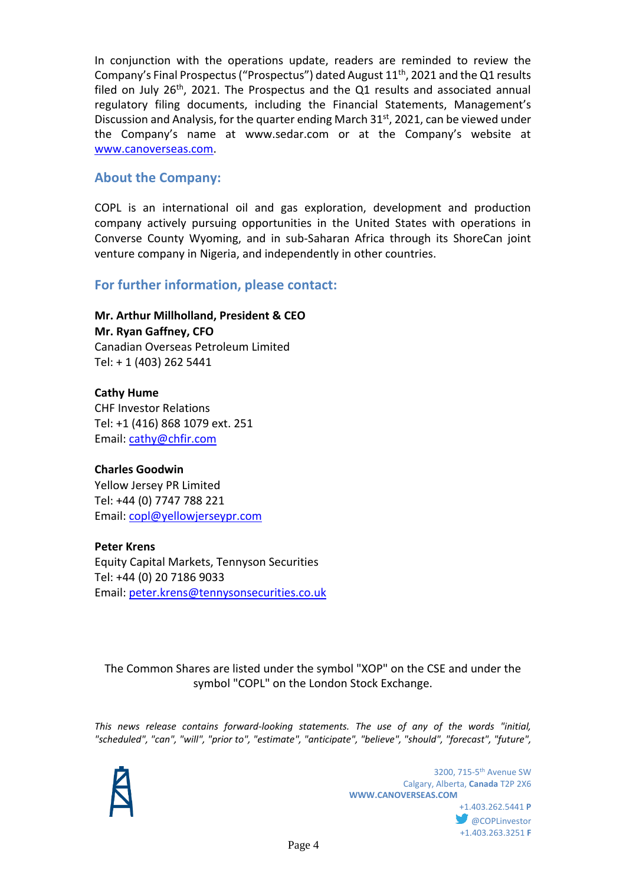In conjunction with the operations update, readers are reminded to review the Company's Final Prospectus ("Prospectus") dated August  $11<sup>th</sup>$ , 2021 and the Q1 results filed on July  $26<sup>th</sup>$ , 2021. The Prospectus and the Q1 results and associated annual regulatory filing documents, including the Financial Statements, Management's Discussion and Analysis, for the quarter ending March  $31<sup>st</sup>$ , 2021, can be viewed under the Company's name at www.sedar.com or at the Company's website at [www.canoverseas.com.](http://www.canoverseas.com/)

### **About the Company:**

COPL is an international oil and gas exploration, development and production company actively pursuing opportunities in the United States with operations in Converse County Wyoming, and in sub-Saharan Africa through its ShoreCan joint venture company in Nigeria, and independently in other countries.

# **For further information, please contact:**

**Mr. Arthur Millholland, President & CEO Mr. Ryan Gaffney, CFO** Canadian Overseas Petroleum Limited Tel: + 1 (403) 262 5441

**Cathy Hume** CHF Investor Relations Tel: +1 (416) 868 1079 ext. 251 Email: [cathy@chfir.com](mailto:cathy@chfir.com)

#### **Charles Goodwin**

Yellow Jersey PR Limited Tel: +44 (0) 7747 788 221 Email: [copl@yellowjerseypr.com](mailto:copl@yellowjerseypr.com)

#### **Peter Krens**

Equity Capital Markets, Tennyson Securities Tel: +44 (0) 20 7186 9033 Email: [peter.krens@tennysonsecurities.co.uk](mailto:peter.krens@tennysonsecurities.co.uk) 

The Common Shares are listed under the symbol "XOP" on the CSE and under the symbol "COPL" on the London Stock Exchange.

*This news release contains forward-looking statements. The use of any of the words "initial, "scheduled", "can", "will", "prior to", "estimate", "anticipate", "believe", "should", "forecast", "future",*